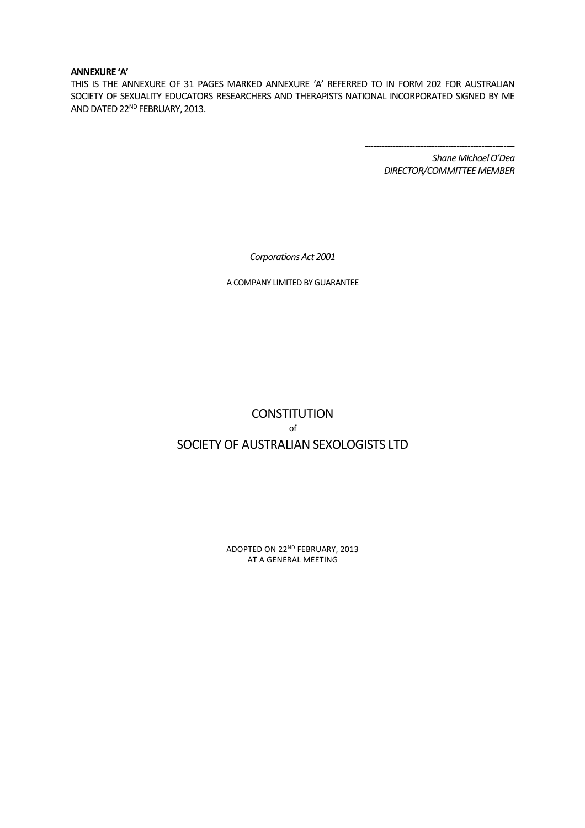#### **ANNEXURE 'A'**

THIS IS THE ANNEXURE OF 31 PAGES MARKED ANNEXURE 'A' REFERRED TO IN FORM 202 FOR AUSTRALIAN SOCIETY OF SEXUALITY EDUCATORS RESEARCHERS AND THERAPISTS NATIONAL INCORPORATED SIGNED BY ME AND DATED 22ND FEBRUARY, 2013.

> *------------------------------------------------------ Shane Michael O'Dea DIRECTOR/COMMITTEE MEMBER*

*Corporations Act 2001* 

A COMPANY LIMITED BY GUARANTEE

# **CONSTITUTION** of SOCIETY OF AUSTRALIAN SEXOLOGISTS LTD

ADOPTED ON 22ND FEBRUARY, 2013 AT A GENERAL MEETING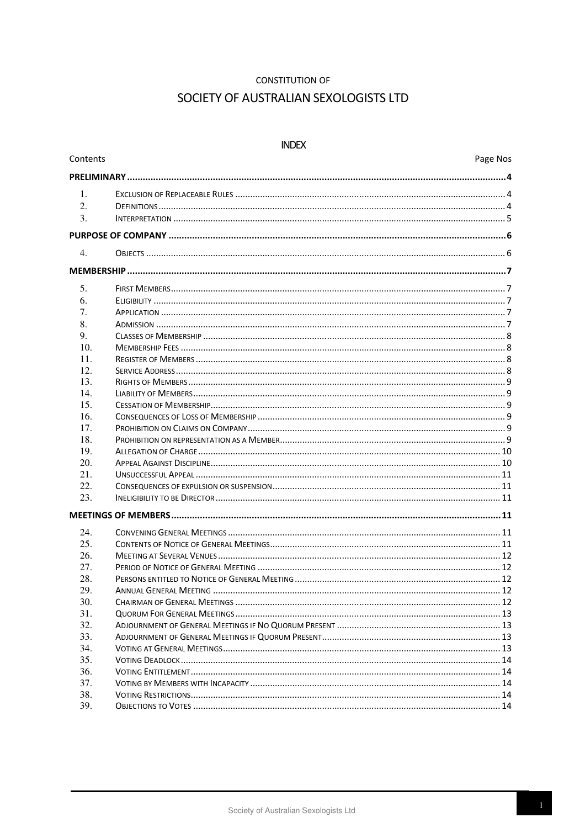#### **CONSTITUTION OF**

# SOCIETY OF AUSTRALIAN SEXOLOGISTS LTD

#### **INDEX**

Contents

| $\mathbf{1}$ .   |  |  |  |  |
|------------------|--|--|--|--|
| 2.               |  |  |  |  |
| 3.               |  |  |  |  |
|                  |  |  |  |  |
| $\overline{4}$ . |  |  |  |  |
|                  |  |  |  |  |
| 5.               |  |  |  |  |
| 6.               |  |  |  |  |
| 7.               |  |  |  |  |
| 8.               |  |  |  |  |
| 9.               |  |  |  |  |
| 10.              |  |  |  |  |
| 11.              |  |  |  |  |
| 12.              |  |  |  |  |
| 13.              |  |  |  |  |
| 14.              |  |  |  |  |
| 15.              |  |  |  |  |
| 16.              |  |  |  |  |
| 17.              |  |  |  |  |
| 18.              |  |  |  |  |
| 19.              |  |  |  |  |
| 20.              |  |  |  |  |
| 21.              |  |  |  |  |
| 22.              |  |  |  |  |
| 23.              |  |  |  |  |
|                  |  |  |  |  |
| 24.              |  |  |  |  |
| 25.              |  |  |  |  |
| 26.              |  |  |  |  |
| 27.              |  |  |  |  |
| 28.              |  |  |  |  |
| 29.              |  |  |  |  |
| 30.              |  |  |  |  |
| 31.              |  |  |  |  |
| 32.              |  |  |  |  |
| 33.              |  |  |  |  |
| 34.              |  |  |  |  |
| 35.              |  |  |  |  |
| 36.              |  |  |  |  |
| 37.              |  |  |  |  |
| 38.              |  |  |  |  |
| 39.              |  |  |  |  |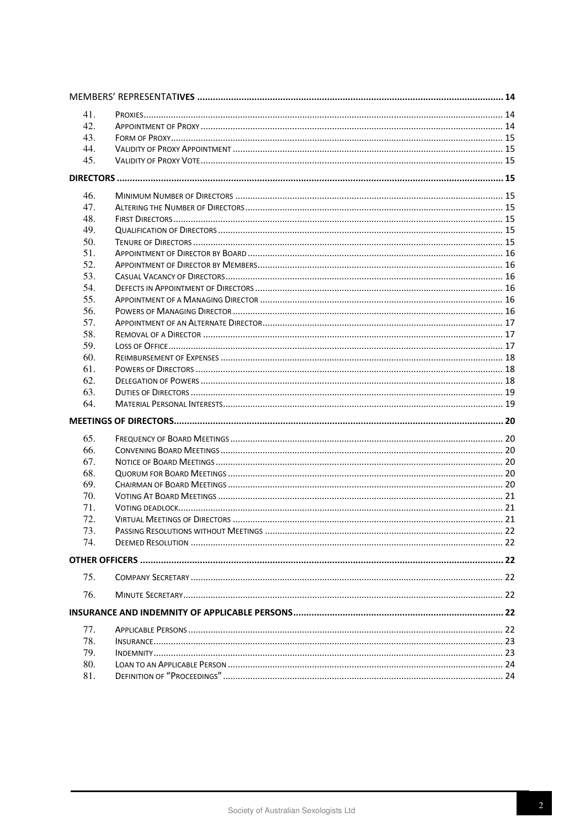| 41. |  |
|-----|--|
| 42. |  |
| 43. |  |
| 44. |  |
| 45. |  |
|     |  |
|     |  |
| 46. |  |
| 47. |  |
| 48. |  |
| 49. |  |
| 50. |  |
| 51. |  |
| 52. |  |
| 53. |  |
| 54. |  |
| 55. |  |
| 56. |  |
| 57. |  |
| 58. |  |
| 59. |  |
| 60. |  |
| 61. |  |
| 62. |  |
| 63. |  |
| 64. |  |
|     |  |
| 65. |  |
| 66. |  |
| 67. |  |
| 68. |  |
| 69. |  |
| 70. |  |
| 71. |  |
| 72. |  |
| 73  |  |
| 74. |  |
|     |  |
| 75. |  |
| 76. |  |
|     |  |
|     |  |
| 77. |  |
| 78. |  |
| 79. |  |
| 80. |  |
| 81. |  |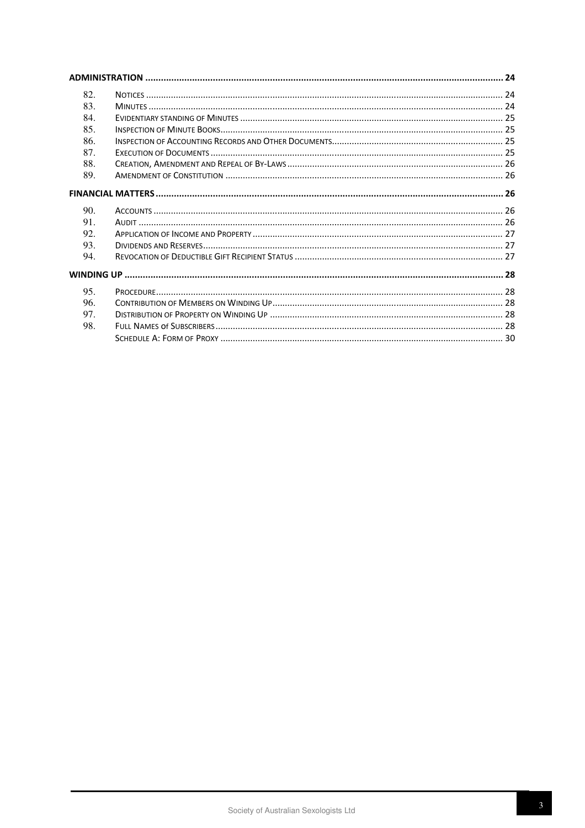| 82.  |  |  |  |  |
|------|--|--|--|--|
| 83.  |  |  |  |  |
| 84.  |  |  |  |  |
| 85.  |  |  |  |  |
| -86. |  |  |  |  |
| 87.  |  |  |  |  |
| 88.  |  |  |  |  |
| 89.  |  |  |  |  |
|      |  |  |  |  |
| 90.  |  |  |  |  |
| 91.  |  |  |  |  |
| 92.  |  |  |  |  |
| 93.  |  |  |  |  |
| 94.  |  |  |  |  |
|      |  |  |  |  |
| 95.  |  |  |  |  |
| 96.  |  |  |  |  |
| 97.  |  |  |  |  |
| 98.  |  |  |  |  |
|      |  |  |  |  |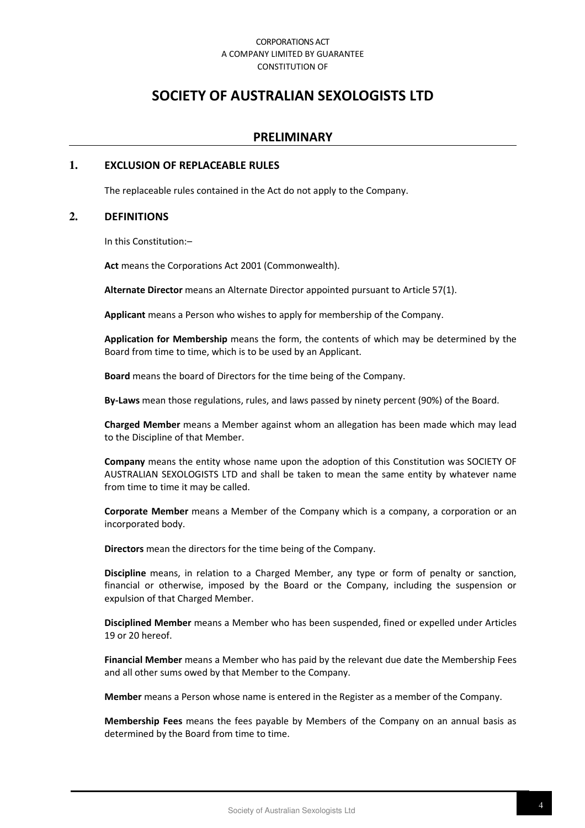#### CORPORATIONS ACT A COMPANY LIMITED BY GUARANTEE CONSTITUTION OF

# **SOCIETY OF AUSTRALIAN SEXOLOGISTS LTD**

# **PRELIMINARY**

#### **1. EXCLUSION OF REPLACEABLE RULES**

The replaceable rules contained in the Act do not apply to the Company.

#### **2. DEFINITIONS**

In this Constitution:–

**Act** means the Corporations Act 2001 (Commonwealth).

**Alternate Director** means an Alternate Director appointed pursuant to Article 57(1).

**Applicant** means a Person who wishes to apply for membership of the Company.

**Application for Membership** means the form, the contents of which may be determined by the Board from time to time, which is to be used by an Applicant.

**Board** means the board of Directors for the time being of the Company.

**By-Laws** mean those regulations, rules, and laws passed by ninety percent (90%) of the Board.

**Charged Member** means a Member against whom an allegation has been made which may lead to the Discipline of that Member.

**Company** means the entity whose name upon the adoption of this Constitution was SOCIETY OF AUSTRALIAN SEXOLOGISTS LTD and shall be taken to mean the same entity by whatever name from time to time it may be called.

**Corporate Member** means a Member of the Company which is a company, a corporation or an incorporated body.

**Directors** mean the directors for the time being of the Company.

**Discipline** means, in relation to a Charged Member, any type or form of penalty or sanction, financial or otherwise, imposed by the Board or the Company, including the suspension or expulsion of that Charged Member.

**Disciplined Member** means a Member who has been suspended, fined or expelled under Articles 19 or 20 hereof.

**Financial Member** means a Member who has paid by the relevant due date the Membership Fees and all other sums owed by that Member to the Company.

**Member** means a Person whose name is entered in the Register as a member of the Company.

**Membership Fees** means the fees payable by Members of the Company on an annual basis as determined by the Board from time to time.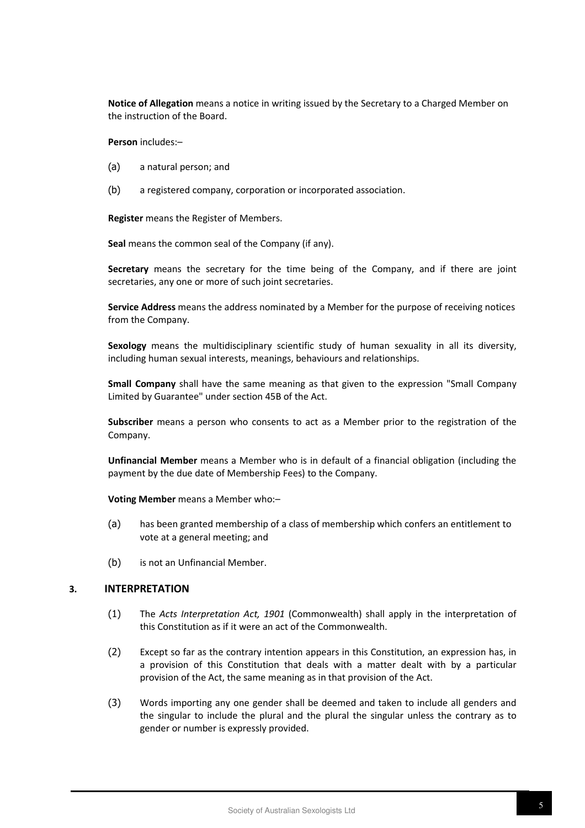**Notice of Allegation** means a notice in writing issued by the Secretary to a Charged Member on the instruction of the Board.

**Person** includes:–

- (a) a natural person; and
- (b) a registered company, corporation or incorporated association.

**Register** means the Register of Members.

**Seal** means the common seal of the Company (if any).

**Secretary** means the secretary for the time being of the Company, and if there are joint secretaries, any one or more of such joint secretaries.

**Service Address** means the address nominated by a Member for the purpose of receiving notices from the Company.

**Sexology** means the multidisciplinary scientific study of human sexuality in all its diversity, including human sexual interests, meanings, behaviours and relationships.

**Small Company** shall have the same meaning as that given to the expression "Small Company Limited by Guarantee" under section 45B of the Act.

**Subscriber** means a person who consents to act as a Member prior to the registration of the Company.

**Unfinancial Member** means a Member who is in default of a financial obligation (including the payment by the due date of Membership Fees) to the Company.

**Voting Member** means a Member who:–

- (a) has been granted membership of a class of membership which confers an entitlement to vote at a general meeting; and
- (b) is not an Unfinancial Member.

#### **3. INTERPRETATION**

- (1) The *Acts Interpretation Act, 1901* (Commonwealth) shall apply in the interpretation of this Constitution as if it were an act of the Commonwealth.
- (2) Except so far as the contrary intention appears in this Constitution, an expression has, in a provision of this Constitution that deals with a matter dealt with by a particular provision of the Act, the same meaning as in that provision of the Act.
- (3) Words importing any one gender shall be deemed and taken to include all genders and the singular to include the plural and the plural the singular unless the contrary as to gender or number is expressly provided.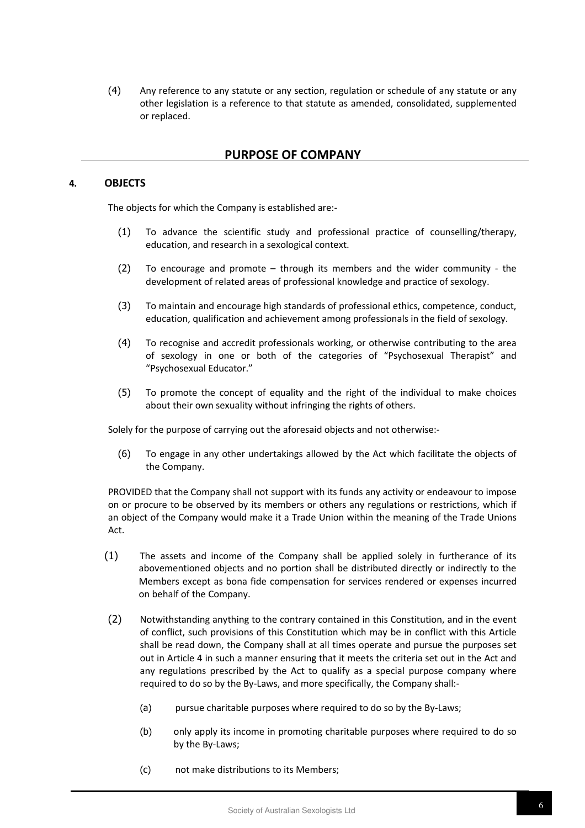(4) Any reference to any statute or any section, regulation or schedule of any statute or any other legislation is a reference to that statute as amended, consolidated, supplemented or replaced.

# **PURPOSE OF COMPANY**

#### **4. OBJECTS**

The objects for which the Company is established are:-

- (1) To advance the scientific study and professional practice of counselling/therapy, education, and research in a sexological context.
- (2) To encourage and promote through its members and the wider community the development of related areas of professional knowledge and practice of sexology.
- (3) To maintain and encourage high standards of professional ethics, competence, conduct, education, qualification and achievement among professionals in the field of sexology.
- (4) To recognise and accredit professionals working, or otherwise contributing to the area of sexology in one or both of the categories of "Psychosexual Therapist" and "Psychosexual Educator."
- (5) To promote the concept of equality and the right of the individual to make choices about their own sexuality without infringing the rights of others.

Solely for the purpose of carrying out the aforesaid objects and not otherwise:-

(6) To engage in any other undertakings allowed by the Act which facilitate the objects of the Company.

PROVIDED that the Company shall not support with its funds any activity or endeavour to impose on or procure to be observed by its members or others any regulations or restrictions, which if an object of the Company would make it a Trade Union within the meaning of the Trade Unions Act.

- (1) The assets and income of the Company shall be applied solely in furtherance of its abovementioned objects and no portion shall be distributed directly or indirectly to the Members except as bona fide compensation for services rendered or expenses incurred on behalf of the Company.
- (2) Notwithstanding anything to the contrary contained in this Constitution, and in the event of conflict, such provisions of this Constitution which may be in conflict with this Article shall be read down, the Company shall at all times operate and pursue the purposes set out in Article 4 in such a manner ensuring that it meets the criteria set out in the Act and any regulations prescribed by the Act to qualify as a special purpose company where required to do so by the By-Laws, and more specifically, the Company shall:-
	- (a) pursue charitable purposes where required to do so by the By-Laws;
	- (b) only apply its income in promoting charitable purposes where required to do so by the By-Laws;
	- (c) not make distributions to its Members;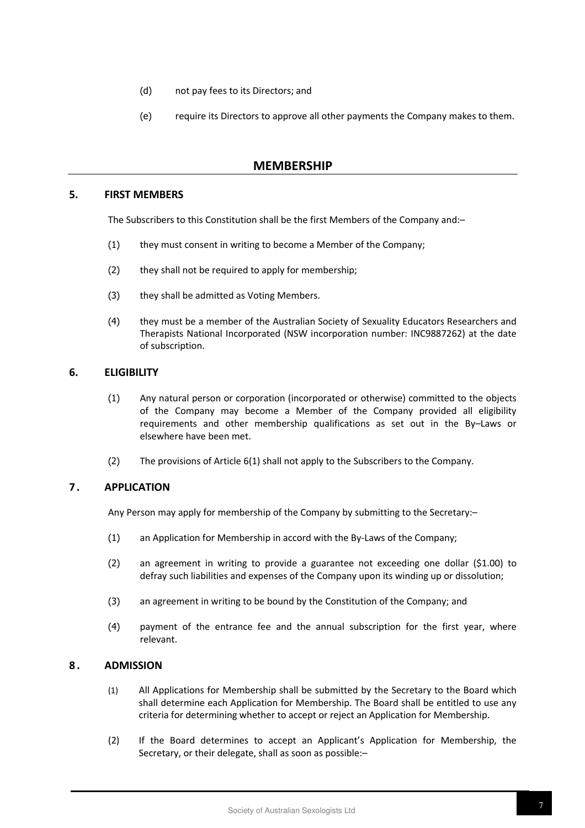- (d) not pay fees to its Directors; and
- (e) require its Directors to approve all other payments the Company makes to them.

# **MEMBERSHIP**

## **5. FIRST MEMBERS**

The Subscribers to this Constitution shall be the first Members of the Company and:–

- (1) they must consent in writing to become a Member of the Company;
- (2) they shall not be required to apply for membership;
- (3) they shall be admitted as Voting Members.
- (4) they must be a member of the Australian Society of Sexuality Educators Researchers and Therapists National Incorporated (NSW incorporation number: INC9887262) at the date of subscription.

#### **6. ELIGIBILITY**

- (1) Any natural person or corporation (incorporated or otherwise) committed to the objects of the Company may become a Member of the Company provided all eligibility requirements and other membership qualifications as set out in the By–Laws or elsewhere have been met.
- (2) The provisions of Article 6(1) shall not apply to the Subscribers to the Company.

#### **7 . APPLICATION**

Any Person may apply for membership of the Company by submitting to the Secretary:–

- (1) an Application for Membership in accord with the By-Laws of the Company;
- (2) an agreement in writing to provide a guarantee not exceeding one dollar (\$1.00) to defray such liabilities and expenses of the Company upon its winding up or dissolution;
- (3) an agreement in writing to be bound by the Constitution of the Company; and
- (4) payment of the entrance fee and the annual subscription for the first year, where relevant.

#### **8 . ADMISSION**

- (1) All Applications for Membership shall be submitted by the Secretary to the Board which shall determine each Application for Membership. The Board shall be entitled to use any criteria for determining whether to accept or reject an Application for Membership.
- (2) If the Board determines to accept an Applicant's Application for Membership, the Secretary, or their delegate, shall as soon as possible:–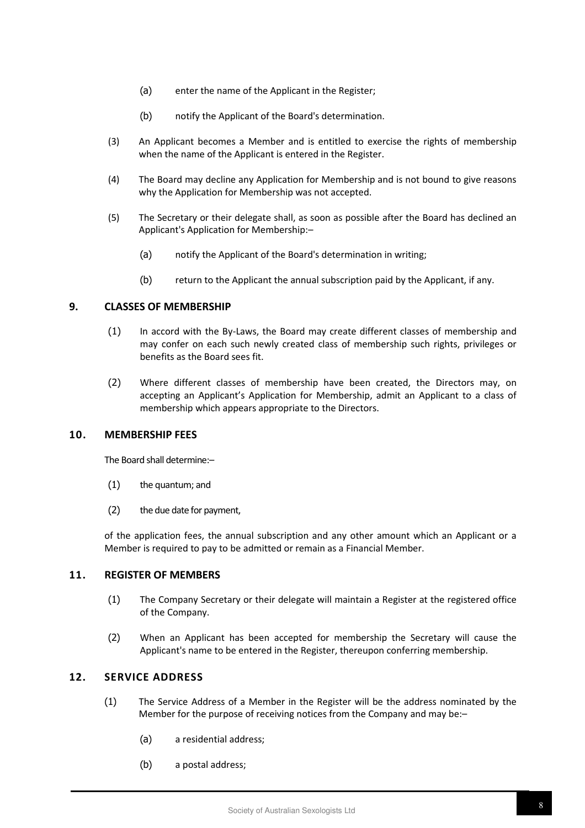- (a) enter the name of the Applicant in the Register;
- (b) notify the Applicant of the Board's determination.
- (3) An Applicant becomes a Member and is entitled to exercise the rights of membership when the name of the Applicant is entered in the Register.
- (4) The Board may decline any Application for Membership and is not bound to give reasons why the Application for Membership was not accepted.
- (5) The Secretary or their delegate shall, as soon as possible after the Board has declined an Applicant's Application for Membership:–
	- (a) notify the Applicant of the Board's determination in writing;
	- (b) return to the Applicant the annual subscription paid by the Applicant, if any.

# **9. CLASSES OF MEMBERSHIP**

- (1) In accord with the By-Laws, the Board may create different classes of membership and may confer on each such newly created class of membership such rights, privileges or benefits as the Board sees fit.
- (2) Where different classes of membership have been created, the Directors may, on accepting an Applicant's Application for Membership, admit an Applicant to a class of membership which appears appropriate to the Directors.

## **10. MEMBERSHIP FEES**

The Board shall determine:–

- (1) the quantum; and
- (2) the due date for payment,

of the application fees, the annual subscription and any other amount which an Applicant or a Member is required to pay to be admitted or remain as a Financial Member.

#### **11. REGISTER OF MEMBERS**

- (1) The Company Secretary or their delegate will maintain a Register at the registered office of the Company.
- (2) When an Applicant has been accepted for membership the Secretary will cause the Applicant's name to be entered in the Register, thereupon conferring membership.

# **12. SERVICE ADDRESS**

- (1) The Service Address of a Member in the Register will be the address nominated by the Member for the purpose of receiving notices from the Company and may be:–
	- (a) a residential address;
	- (b) a postal address;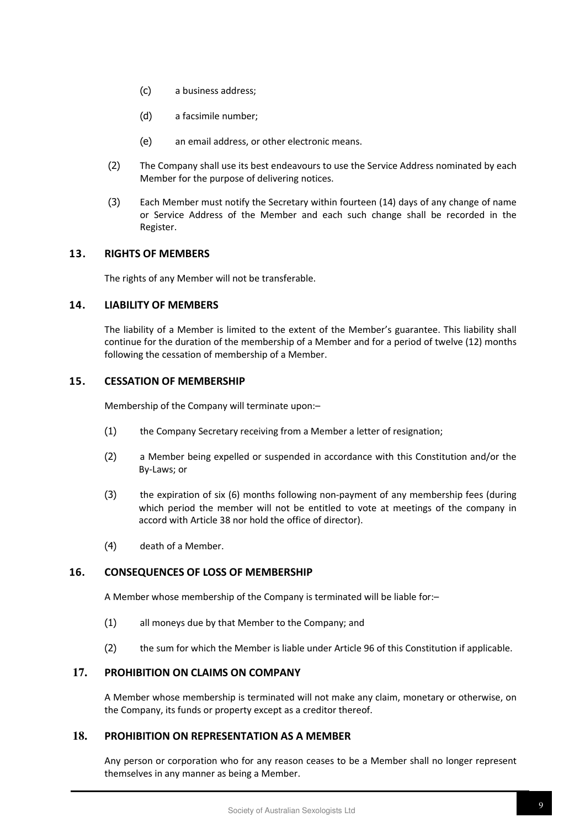- (c) a business address;
- (d) a facsimile number;
- (e) an email address, or other electronic means.
- (2) The Company shall use its best endeavours to use the Service Address nominated by each Member for the purpose of delivering notices.
- (3) Each Member must notify the Secretary within fourteen (14) days of any change of name or Service Address of the Member and each such change shall be recorded in the Register.

# **13. RIGHTS OF MEMBERS**

The rights of any Member will not be transferable.

# **14. LIABILITY OF MEMBERS**

The liability of a Member is limited to the extent of the Member's guarantee. This liability shall continue for the duration of the membership of a Member and for a period of twelve (12) months following the cessation of membership of a Member.

# **15. CESSATION OF MEMBERSHIP**

Membership of the Company will terminate upon:–

- (1) the Company Secretary receiving from a Member a letter of resignation;
- (2) a Member being expelled or suspended in accordance with this Constitution and/or the By-Laws; or
- (3) the expiration of six (6) months following non-payment of any membership fees (during which period the member will not be entitled to vote at meetings of the company in accord with Article 38 nor hold the office of director).
- (4) death of a Member.

# **16. CONSEQUENCES OF LOSS OF MEMBERSHIP**

A Member whose membership of the Company is terminated will be liable for:–

- (1) all moneys due by that Member to the Company; and
- (2) the sum for which the Member is liable under Article 96 of this Constitution if applicable.

# **17. PROHIBITION ON CLAIMS ON COMPANY**

A Member whose membership is terminated will not make any claim, monetary or otherwise, on the Company, its funds or property except as a creditor thereof.

# **18. PROHIBITION ON REPRESENTATION AS A MEMBER**

Any person or corporation who for any reason ceases to be a Member shall no longer represent themselves in any manner as being a Member.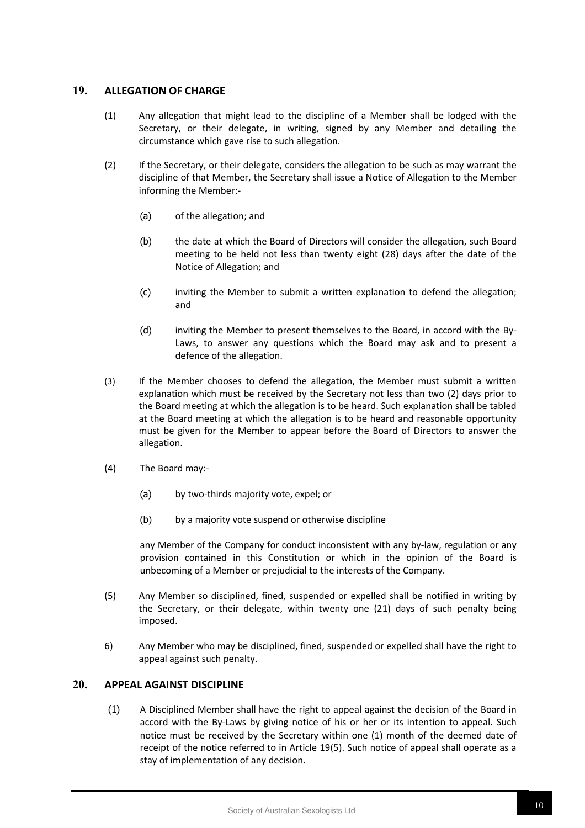# **19. ALLEGATION OF CHARGE**

- (1) Any allegation that might lead to the discipline of a Member shall be lodged with the Secretary, or their delegate, in writing, signed by any Member and detailing the circumstance which gave rise to such allegation.
- (2) If the Secretary, or their delegate, considers the allegation to be such as may warrant the discipline of that Member, the Secretary shall issue a Notice of Allegation to the Member informing the Member:-
	- (a) of the allegation; and
	- (b) the date at which the Board of Directors will consider the allegation, such Board meeting to be held not less than twenty eight (28) days after the date of the Notice of Allegation; and
	- (c) inviting the Member to submit a written explanation to defend the allegation; and
	- (d) inviting the Member to present themselves to the Board, in accord with the By-Laws, to answer any questions which the Board may ask and to present a defence of the allegation.
- (3) If the Member chooses to defend the allegation, the Member must submit a written explanation which must be received by the Secretary not less than two (2) days prior to the Board meeting at which the allegation is to be heard. Such explanation shall be tabled at the Board meeting at which the allegation is to be heard and reasonable opportunity must be given for the Member to appear before the Board of Directors to answer the allegation.
- (4) The Board may:-
	- (a) by two-thirds majority vote, expel; or
	- (b) by a majority vote suspend or otherwise discipline

any Member of the Company for conduct inconsistent with any by-law, regulation or any provision contained in this Constitution or which in the opinion of the Board is unbecoming of a Member or prejudicial to the interests of the Company.

- (5) Any Member so disciplined, fined, suspended or expelled shall be notified in writing by the Secretary, or their delegate, within twenty one (21) days of such penalty being imposed.
- 6) Any Member who may be disciplined, fined, suspended or expelled shall have the right to appeal against such penalty.

## **20. APPEAL AGAINST DISCIPLINE**

(1) A Disciplined Member shall have the right to appeal against the decision of the Board in accord with the By-Laws by giving notice of his or her or its intention to appeal. Such notice must be received by the Secretary within one (1) month of the deemed date of receipt of the notice referred to in Article 19(5). Such notice of appeal shall operate as a stay of implementation of any decision.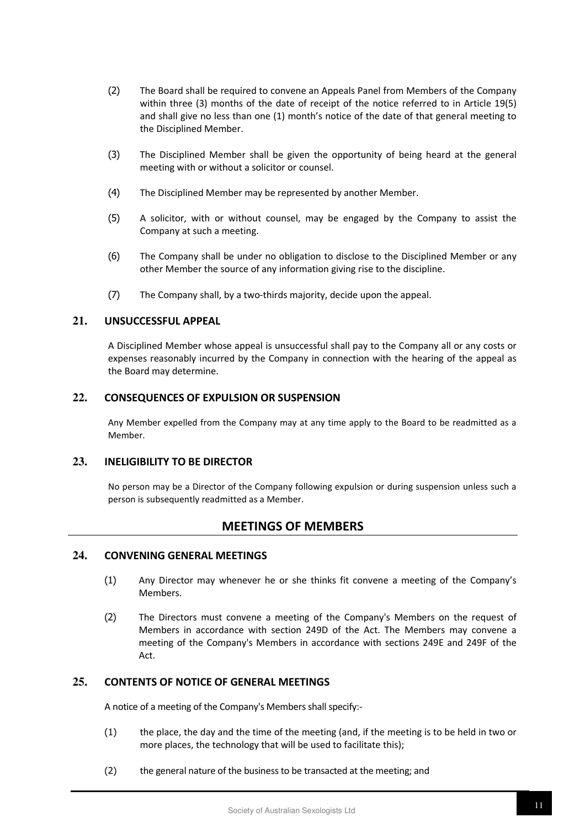- (2) The Board shall be required to convene an Appeals Panel from Members of the Company within three (3) months of the date of receipt of the notice referred to in Article 19(5) and shall give no less than one (1) month's notice of the date of that general meeting to the Disciplined Member.
- (3) The Disciplined Member shall be given the opportunity of being heard at the general meeting with or without a solicitor or counsel.
- (4) The Disciplined Member may be represented by another Member.
- (5) A solicitor, with or without counsel, may be engaged by the Company to assist the Company at such a meeting.
- (6) The Company shall be under no obligation to disclose to the Disciplined Member or any other Member the source of any information giving rise to the discipline.
- (7) The Company shall, by a two-thirds majority, decide upon the appeal.

#### **21. UNSUCCESSFUL APPEAL**

A Disciplined Member whose appeal is unsuccessful shall pay to the Company all or any costs or expenses reasonably incurred by the Company in connection with the hearing of the appeal as the Board may determine.

#### **22. CONSEQUENCES OF EXPULSION OR SUSPENSION**

Any Member expelled from the Company may at any time apply to the Board to be readmitted as a Member.

# **23. INELIGIBILITY TO BE DIRECTOR**

No person may be a Director of the Company following expulsion or during suspension unless such a person is subsequently readmitted as a Member.

# **MEETINGS OF MEMBERS**

# **24. CONVENING GENERAL MEETINGS**

- (1) Any Director may whenever he or she thinks fit convene a meeting of the Company's Members.
- (2) The Directors must convene a meeting of the Company's Members on the request of Members in accordance with section 249D of the Act. The Members may convene a meeting of the Company's Members in accordance with sections 249E and 249F of the Act.

# **25. CONTENTS OF NOTICE OF GENERAL MEETINGS**

A notice of a meeting of the Company's Members shall specify:-

- (1) the place, the day and the time of the meeting (and, if the meeting is to be held in two or more places, the technology that will be used to facilitate this);
- (2) the general nature of the business to be transacted at the meeting; and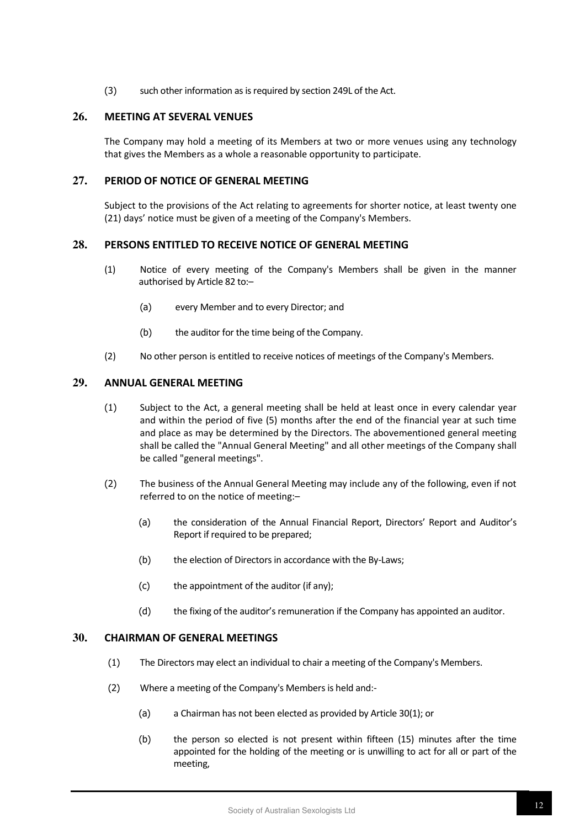(3) such other information as is required by section 249L of the Act.

#### **26. MEETING AT SEVERAL VENUES**

The Company may hold a meeting of its Members at two or more venues using any technology that gives the Members as a whole a reasonable opportunity to participate.

# **27. PERIOD OF NOTICE OF GENERAL MEETING**

Subject to the provisions of the Act relating to agreements for shorter notice, at least twenty one (21) days' notice must be given of a meeting of the Company's Members.

## **28. PERSONS ENTITLED TO RECEIVE NOTICE OF GENERAL MEETING**

- (1) Notice of every meeting of the Company's Members shall be given in the manner authorised by Article 82 to:–
	- (a) every Member and to every Director; and
	- (b) the auditor for the time being of the Company.
- (2) No other person is entitled to receive notices of meetings of the Company's Members.

# **29. ANNUAL GENERAL MEETING**

- (1) Subject to the Act, a general meeting shall be held at least once in every calendar year and within the period of five (5) months after the end of the financial year at such time and place as may be determined by the Directors. The abovementioned general meeting shall be called the "Annual General Meeting" and all other meetings of the Company shall be called "general meetings".
- (2) The business of the Annual General Meeting may include any of the following, even if not referred to on the notice of meeting:–
	- (a) the consideration of the Annual Financial Report, Directors' Report and Auditor's Report if required to be prepared;
	- (b) the election of Directors in accordance with the By-Laws;
	- (c) the appointment of the auditor (if any);
	- (d) the fixing of the auditor's remuneration if the Company has appointed an auditor.

#### **30. CHAIRMAN OF GENERAL MEETINGS**

- (1) The Directors may elect an individual to chair a meeting of the Company's Members.
- (2) Where a meeting of the Company's Members is held and:-
	- (a) a Chairman has not been elected as provided by Article 30(1); or
	- (b) the person so elected is not present within fifteen (15) minutes after the time appointed for the holding of the meeting or is unwilling to act for all or part of the meeting,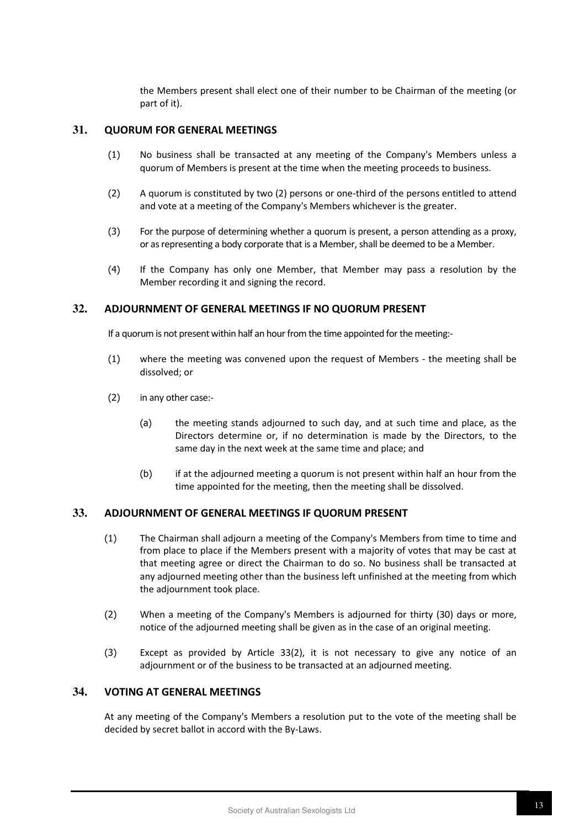the Members present shall elect one of their number to be Chairman of the meeting (or part of it).

#### **31. QUORUM FOR GENERAL MEETINGS**

- (1) No business shall be transacted at any meeting of the Company's Members unless a quorum of Members is present at the time when the meeting proceeds to business.
- (2) A quorum is constituted by two (2) persons or one-third of the persons entitled to attend and vote at a meeting of the Company's Members whichever is the greater.
- (3) For the purpose of determining whether a quorum is present, a person attending as a proxy, or as representing a body corporate that is a Member, shall be deemed to be a Member.
- (4) If the Company has only one Member, that Member may pass a resolution by the Member recording it and signing the record.

# **32. ADJOURNMENT OF GENERAL MEETINGS IF NO QUORUM PRESENT**

If a quorum is not present within half an hour from the time appointed for the meeting:-

- (1) where the meeting was convened upon the request of Members the meeting shall be dissolved; or
- (2) in any other case:-
	- (a) the meeting stands adjourned to such day, and at such time and place, as the Directors determine or, if no determination is made by the Directors, to the same day in the next week at the same time and place; and
	- (b) if at the adjourned meeting a quorum is not present within half an hour from the time appointed for the meeting, then the meeting shall be dissolved.

# **33. ADJOURNMENT OF GENERAL MEETINGS IF QUORUM PRESENT**

- (1) The Chairman shall adjourn a meeting of the Company's Members from time to time and from place to place if the Members present with a majority of votes that may be cast at that meeting agree or direct the Chairman to do so. No business shall be transacted at any adjourned meeting other than the business left unfinished at the meeting from which the adjournment took place.
- (2) When a meeting of the Company's Members is adjourned for thirty (30) days or more, notice of the adjourned meeting shall be given as in the case of an original meeting.
- (3) Except as provided by Article 33(2), it is not necessary to give any notice of an adjournment or of the business to be transacted at an adjourned meeting.

# **34. VOTING AT GENERAL MEETINGS**

At any meeting of the Company's Members a resolution put to the vote of the meeting shall be decided by secret ballot in accord with the By-Laws.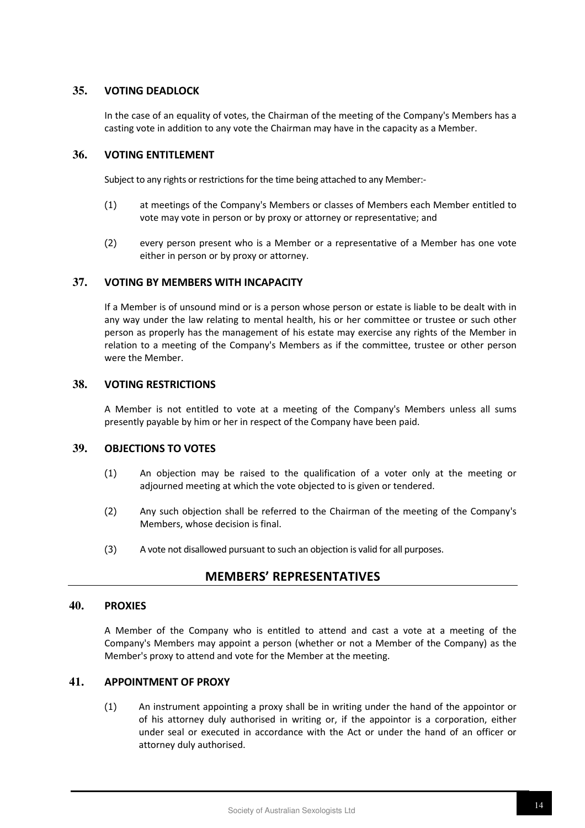## **35. VOTING DEADLOCK**

In the case of an equality of votes, the Chairman of the meeting of the Company's Members has a casting vote in addition to any vote the Chairman may have in the capacity as a Member.

## **36. VOTING ENTITLEMENT**

Subject to any rights or restrictions for the time being attached to any Member:-

- (1) at meetings of the Company's Members or classes of Members each Member entitled to vote may vote in person or by proxy or attorney or representative; and
- (2) every person present who is a Member or a representative of a Member has one vote either in person or by proxy or attorney.

#### **37. VOTING BY MEMBERS WITH INCAPACITY**

If a Member is of unsound mind or is a person whose person or estate is liable to be dealt with in any way under the law relating to mental health, his or her committee or trustee or such other person as properly has the management of his estate may exercise any rights of the Member in relation to a meeting of the Company's Members as if the committee, trustee or other person were the Member.

# **38. VOTING RESTRICTIONS**

A Member is not entitled to vote at a meeting of the Company's Members unless all sums presently payable by him or her in respect of the Company have been paid.

# **39. OBJECTIONS TO VOTES**

- (1) An objection may be raised to the qualification of a voter only at the meeting or adjourned meeting at which the vote objected to is given or tendered.
- (2) Any such objection shall be referred to the Chairman of the meeting of the Company's Members, whose decision is final.
- (3) A vote not disallowed pursuant to such an objection is valid for all purposes.

# **MEMBERS' REPRESENTATIVES**

#### **40. PROXIES**

A Member of the Company who is entitled to attend and cast a vote at a meeting of the Company's Members may appoint a person (whether or not a Member of the Company) as the Member's proxy to attend and vote for the Member at the meeting.

#### **41. APPOINTMENT OF PROXY**

(1) An instrument appointing a proxy shall be in writing under the hand of the appointor or of his attorney duly authorised in writing or, if the appointor is a corporation, either under seal or executed in accordance with the Act or under the hand of an officer or attorney duly authorised.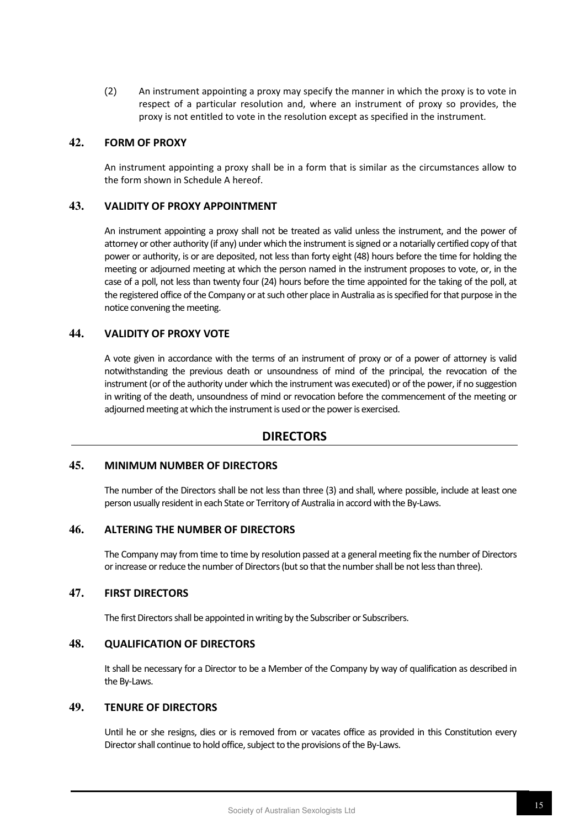(2) An instrument appointing a proxy may specify the manner in which the proxy is to vote in respect of a particular resolution and, where an instrument of proxy so provides, the proxy is not entitled to vote in the resolution except as specified in the instrument.

#### **42. FORM OF PROXY**

An instrument appointing a proxy shall be in a form that is similar as the circumstances allow to the form shown in Schedule A hereof.

# **43. VALIDITY OF PROXY APPOINTMENT**

An instrument appointing a proxy shall not be treated as valid unless the instrument, and the power of attorney or other authority (if any) under which the instrument is signed or a notarially certified copy of that power or authority, is or are deposited, not less than forty eight (48) hours before the time for holding the meeting or adjourned meeting at which the person named in the instrument proposes to vote, or, in the case of a poll, not less than twenty four (24) hours before the time appointed for the taking of the poll, at the registered office of the Company or at such other place in Australia as is specified for that purpose in the notice convening the meeting.

#### **44. VALIDITY OF PROXY VOTE**

A vote given in accordance with the terms of an instrument of proxy or of a power of attorney is valid notwithstanding the previous death or unsoundness of mind of the principal, the revocation of the instrument (or of the authority under which the instrument was executed) or of the power, if no suggestion in writing of the death, unsoundness of mind or revocation before the commencement of the meeting or adjourned meeting at which the instrument is used or the power is exercised.

# **DIRECTORS**

#### **45. MINIMUM NUMBER OF DIRECTORS**

The number of the Directors shall be not less than three (3) and shall, where possible, include at least one person usually resident in each State or Territory of Australia in accord with the By-Laws.

#### **46. ALTERING THE NUMBER OF DIRECTORS**

The Company may from time to time by resolution passed at a general meeting fix the number of Directors or increase or reduce the number of Directors (but so that the number shall be not less than three).

# **47. FIRST DIRECTORS**

The first Directors shall be appointed in writing by the Subscriber or Subscribers.

# **48. QUALIFICATION OF DIRECTORS**

It shall be necessary for a Director to be a Member of the Company by way of qualification as described in the By-Laws.

# **49. TENURE OF DIRECTORS**

Until he or she resigns, dies or is removed from or vacates office as provided in this Constitution every Director shall continue to hold office, subject to the provisions of the By-Laws.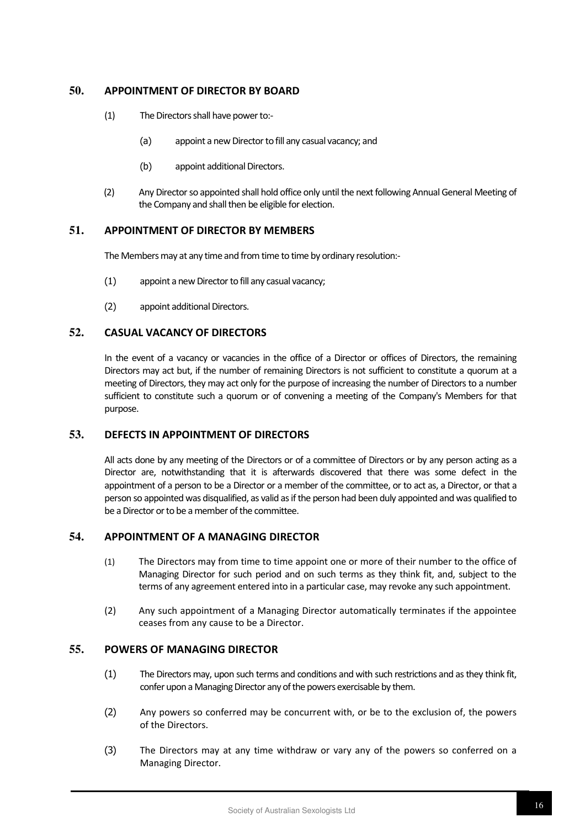# **50. APPOINTMENT OF DIRECTOR BY BOARD**

- (1) The Directors shall have power to:-
	- (a) appoint a new Director to fill any casual vacancy; and
	- (b) appoint additional Directors.
- (2) Any Director so appointed shall hold office only until the next following Annual General Meeting of the Company and shall then be eligible for election.

# **51. APPOINTMENT OF DIRECTOR BY MEMBERS**

The Members may at any time and from time to time by ordinary resolution:-

- (1) appoint a new Director to fill any casual vacancy;
- (2) appoint additional Directors.

# **52. CASUAL VACANCY OF DIRECTORS**

In the event of a vacancy or vacancies in the office of a Director or offices of Directors, the remaining Directors may act but, if the number of remaining Directors is not sufficient to constitute a quorum at a meeting of Directors, they may act only for the purpose of increasing the number of Directors to a number sufficient to constitute such a quorum or of convening a meeting of the Company's Members for that purpose.

#### **53. DEFECTS IN APPOINTMENT OF DIRECTORS**

All acts done by any meeting of the Directors or of a committee of Directors or by any person acting as a Director are, notwithstanding that it is afterwards discovered that there was some defect in the appointment of a person to be a Director or a member of the committee, or to act as, a Director, or that a person so appointed was disqualified, as valid as if the person had been duly appointed and was qualified to be a Director or to be a member of the committee.

# **54. APPOINTMENT OF A MANAGING DIRECTOR**

- (1) The Directors may from time to time appoint one or more of their number to the office of Managing Director for such period and on such terms as they think fit, and, subject to the terms of any agreement entered into in a particular case, may revoke any such appointment.
- (2) Any such appointment of a Managing Director automatically terminates if the appointee ceases from any cause to be a Director.

#### **55. POWERS OF MANAGING DIRECTOR**

- (1) The Directors may, upon such terms and conditions and with such restrictions and as they think fit, confer upon a Managing Director any of the powers exercisable by them.
- (2) Any powers so conferred may be concurrent with, or be to the exclusion of, the powers of the Directors.
- (3) The Directors may at any time withdraw or vary any of the powers so conferred on a Managing Director.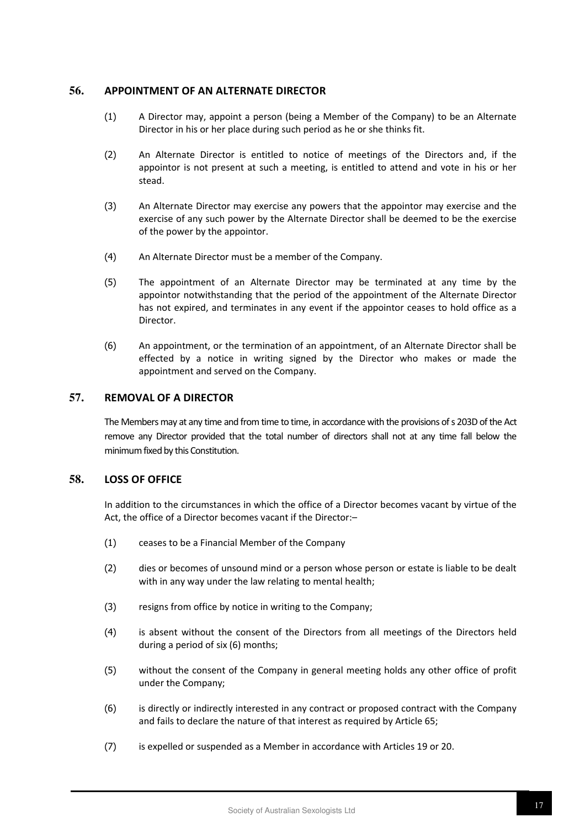## **56. APPOINTMENT OF AN ALTERNATE DIRECTOR**

- (1) A Director may, appoint a person (being a Member of the Company) to be an Alternate Director in his or her place during such period as he or she thinks fit.
- (2) An Alternate Director is entitled to notice of meetings of the Directors and, if the appointor is not present at such a meeting, is entitled to attend and vote in his or her stead.
- (3) An Alternate Director may exercise any powers that the appointor may exercise and the exercise of any such power by the Alternate Director shall be deemed to be the exercise of the power by the appointor.
- (4) An Alternate Director must be a member of the Company.
- (5) The appointment of an Alternate Director may be terminated at any time by the appointor notwithstanding that the period of the appointment of the Alternate Director has not expired, and terminates in any event if the appointor ceases to hold office as a Director.
- (6) An appointment, or the termination of an appointment, of an Alternate Director shall be effected by a notice in writing signed by the Director who makes or made the appointment and served on the Company.

# **57. REMOVAL OF A DIRECTOR**

The Members may at any time and from time to time, in accordance with the provisions of s 203D of the Act remove any Director provided that the total number of directors shall not at any time fall below the minimum fixed by this Constitution.

# **58. LOSS OF OFFICE**

In addition to the circumstances in which the office of a Director becomes vacant by virtue of the Act, the office of a Director becomes vacant if the Director:–

- (1) ceases to be a Financial Member of the Company
- (2) dies or becomes of unsound mind or a person whose person or estate is liable to be dealt with in any way under the law relating to mental health;
- (3) resigns from office by notice in writing to the Company;
- (4) is absent without the consent of the Directors from all meetings of the Directors held during a period of six (6) months;
- (5) without the consent of the Company in general meeting holds any other office of profit under the Company;
- (6) is directly or indirectly interested in any contract or proposed contract with the Company and fails to declare the nature of that interest as required by Article 65;
- (7) is expelled or suspended as a Member in accordance with Articles 19 or 20.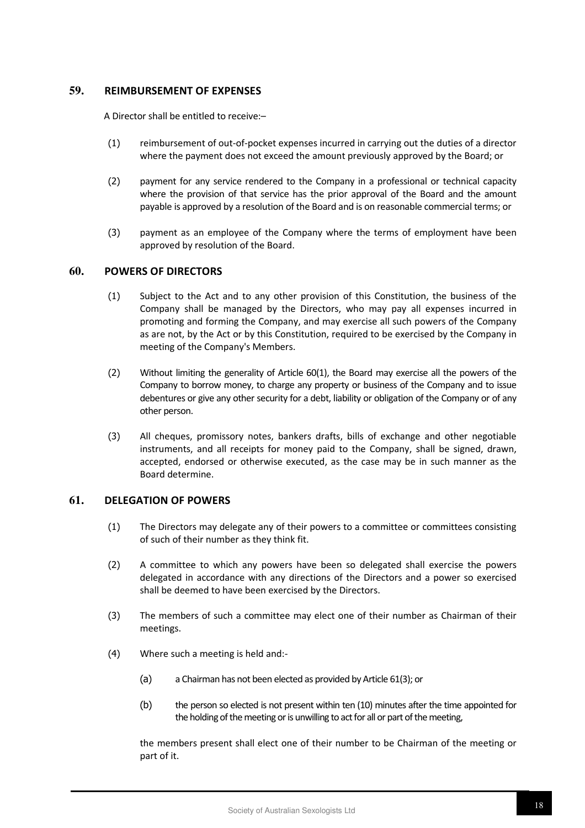# **59. REIMBURSEMENT OF EXPENSES**

A Director shall be entitled to receive:–

- (1) reimbursement of out-of-pocket expenses incurred in carrying out the duties of a director where the payment does not exceed the amount previously approved by the Board; or
- (2) payment for any service rendered to the Company in a professional or technical capacity where the provision of that service has the prior approval of the Board and the amount payable is approved by a resolution of the Board and is on reasonable commercial terms; or
- (3) payment as an employee of the Company where the terms of employment have been approved by resolution of the Board.

#### **60. POWERS OF DIRECTORS**

- (1) Subject to the Act and to any other provision of this Constitution, the business of the Company shall be managed by the Directors, who may pay all expenses incurred in promoting and forming the Company, and may exercise all such powers of the Company as are not, by the Act or by this Constitution, required to be exercised by the Company in meeting of the Company's Members.
- (2) Without limiting the generality of Article 60(1), the Board may exercise all the powers of the Company to borrow money, to charge any property or business of the Company and to issue debentures or give any other security for a debt, liability or obligation of the Company or of any other person.
- (3) All cheques, promissory notes, bankers drafts, bills of exchange and other negotiable instruments, and all receipts for money paid to the Company, shall be signed, drawn, accepted, endorsed or otherwise executed, as the case may be in such manner as the Board determine.

# **61. DELEGATION OF POWERS**

- (1) The Directors may delegate any of their powers to a committee or committees consisting of such of their number as they think fit.
- (2) A committee to which any powers have been so delegated shall exercise the powers delegated in accordance with any directions of the Directors and a power so exercised shall be deemed to have been exercised by the Directors.
- (3) The members of such a committee may elect one of their number as Chairman of their meetings.
- (4) Where such a meeting is held and:-
	- (a) a Chairman has not been elected as provided by Article 61(3); or
	- (b) the person so elected is not present within ten (10) minutes after the time appointed for the holding of the meeting or is unwilling to act for all or part of the meeting,

the members present shall elect one of their number to be Chairman of the meeting or part of it.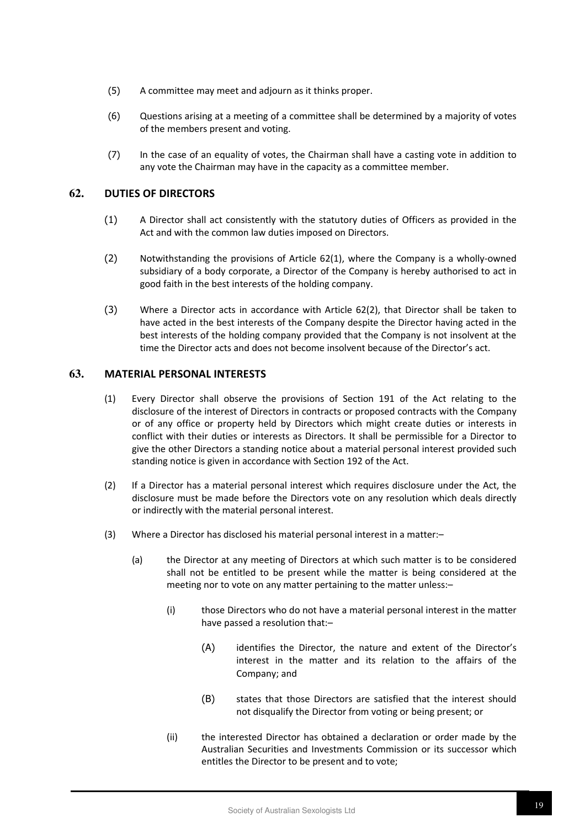- (5) A committee may meet and adjourn as it thinks proper.
- (6) Questions arising at a meeting of a committee shall be determined by a majority of votes of the members present and voting.
- (7) In the case of an equality of votes, the Chairman shall have a casting vote in addition to any vote the Chairman may have in the capacity as a committee member.

#### **62. DUTIES OF DIRECTORS**

- (1) A Director shall act consistently with the statutory duties of Officers as provided in the Act and with the common law duties imposed on Directors.
- (2) Notwithstanding the provisions of Article 62(1), where the Company is a wholly-owned subsidiary of a body corporate, a Director of the Company is hereby authorised to act in good faith in the best interests of the holding company.
- (3) Where a Director acts in accordance with Article 62(2), that Director shall be taken to have acted in the best interests of the Company despite the Director having acted in the best interests of the holding company provided that the Company is not insolvent at the time the Director acts and does not become insolvent because of the Director's act.

# **63. MATERIAL PERSONAL INTERESTS**

- (1) Every Director shall observe the provisions of Section 191 of the Act relating to the disclosure of the interest of Directors in contracts or proposed contracts with the Company or of any office or property held by Directors which might create duties or interests in conflict with their duties or interests as Directors. It shall be permissible for a Director to give the other Directors a standing notice about a material personal interest provided such standing notice is given in accordance with Section 192 of the Act.
- (2) If a Director has a material personal interest which requires disclosure under the Act, the disclosure must be made before the Directors vote on any resolution which deals directly or indirectly with the material personal interest.
- (3) Where a Director has disclosed his material personal interest in a matter:–
	- (a) the Director at any meeting of Directors at which such matter is to be considered shall not be entitled to be present while the matter is being considered at the meeting nor to vote on any matter pertaining to the matter unless:–
		- (i) those Directors who do not have a material personal interest in the matter have passed a resolution that:–
			- (A) identifies the Director, the nature and extent of the Director's interest in the matter and its relation to the affairs of the Company; and
			- (B) states that those Directors are satisfied that the interest should not disqualify the Director from voting or being present; or
		- (ii) the interested Director has obtained a declaration or order made by the Australian Securities and Investments Commission or its successor which entitles the Director to be present and to vote;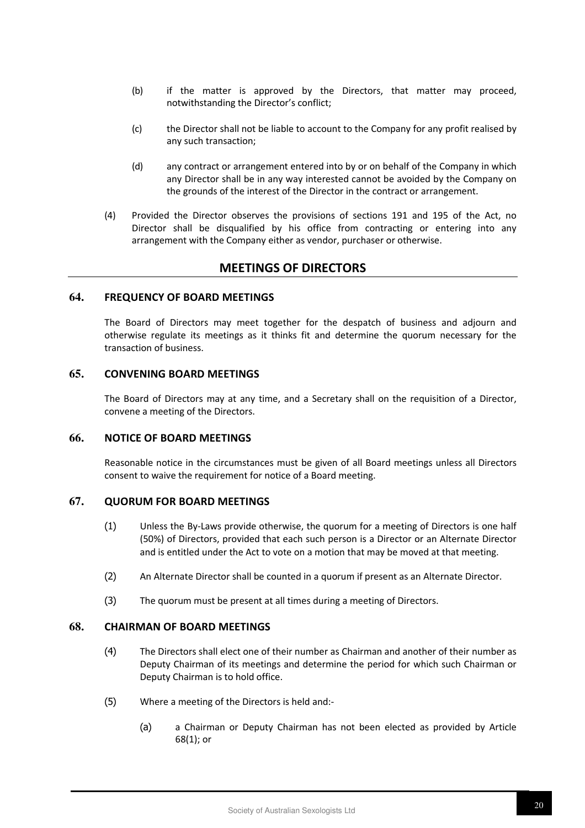- (b) if the matter is approved by the Directors, that matter may proceed, notwithstanding the Director's conflict;
- (c) the Director shall not be liable to account to the Company for any profit realised by any such transaction;
- (d) any contract or arrangement entered into by or on behalf of the Company in which any Director shall be in any way interested cannot be avoided by the Company on the grounds of the interest of the Director in the contract or arrangement.
- (4) Provided the Director observes the provisions of sections 191 and 195 of the Act, no Director shall be disqualified by his office from contracting or entering into any arrangement with the Company either as vendor, purchaser or otherwise.

# **MEETINGS OF DIRECTORS**

# **64. FREQUENCY OF BOARD MEETINGS**

The Board of Directors may meet together for the despatch of business and adjourn and otherwise regulate its meetings as it thinks fit and determine the quorum necessary for the transaction of business.

# **65. CONVENING BOARD MEETINGS**

The Board of Directors may at any time, and a Secretary shall on the requisition of a Director, convene a meeting of the Directors.

#### **66. NOTICE OF BOARD MEETINGS**

Reasonable notice in the circumstances must be given of all Board meetings unless all Directors consent to waive the requirement for notice of a Board meeting.

# **67. QUORUM FOR BOARD MEETINGS**

- (1) Unless the By-Laws provide otherwise, the quorum for a meeting of Directors is one half (50%) of Directors, provided that each such person is a Director or an Alternate Director and is entitled under the Act to vote on a motion that may be moved at that meeting.
- (2) An Alternate Director shall be counted in a quorum if present as an Alternate Director.
- (3) The quorum must be present at all times during a meeting of Directors.

#### **68. CHAIRMAN OF BOARD MEETINGS**

- (4) The Directors shall elect one of their number as Chairman and another of their number as Deputy Chairman of its meetings and determine the period for which such Chairman or Deputy Chairman is to hold office.
- (5) Where a meeting of the Directors is held and:-
	- (a) a Chairman or Deputy Chairman has not been elected as provided by Article 68(1); or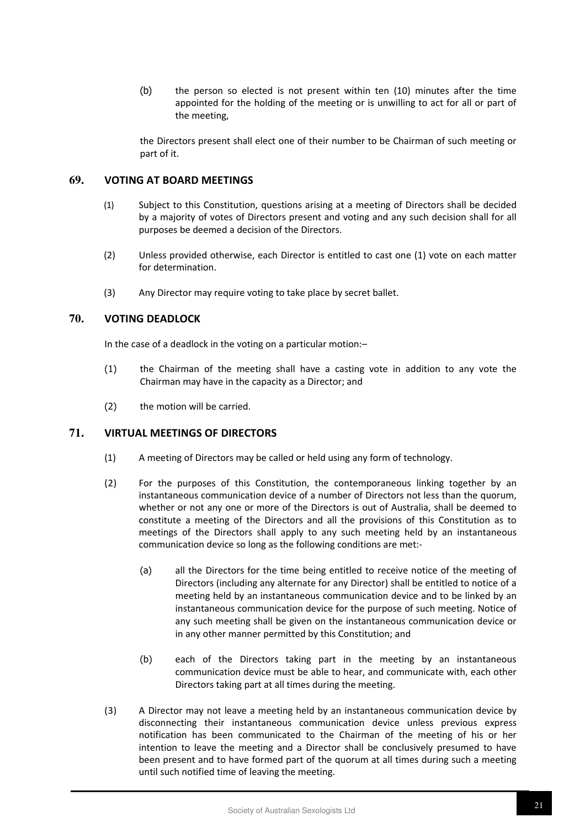(b) the person so elected is not present within ten (10) minutes after the time appointed for the holding of the meeting or is unwilling to act for all or part of the meeting,

the Directors present shall elect one of their number to be Chairman of such meeting or part of it.

#### **69. VOTING AT BOARD MEETINGS**

- (1) Subject to this Constitution, questions arising at a meeting of Directors shall be decided by a majority of votes of Directors present and voting and any such decision shall for all purposes be deemed a decision of the Directors.
- (2) Unless provided otherwise, each Director is entitled to cast one (1) vote on each matter for determination.
- (3) Any Director may require voting to take place by secret ballet.

# **70. VOTING DEADLOCK**

In the case of a deadlock in the voting on a particular motion:–

- (1) the Chairman of the meeting shall have a casting vote in addition to any vote the Chairman may have in the capacity as a Director; and
- (2) the motion will be carried.

#### **71. VIRTUAL MEETINGS OF DIRECTORS**

- (1) A meeting of Directors may be called or held using any form of technology.
- (2) For the purposes of this Constitution, the contemporaneous linking together by an instantaneous communication device of a number of Directors not less than the quorum, whether or not any one or more of the Directors is out of Australia, shall be deemed to constitute a meeting of the Directors and all the provisions of this Constitution as to meetings of the Directors shall apply to any such meeting held by an instantaneous communication device so long as the following conditions are met:-
	- (a) all the Directors for the time being entitled to receive notice of the meeting of Directors (including any alternate for any Director) shall be entitled to notice of a meeting held by an instantaneous communication device and to be linked by an instantaneous communication device for the purpose of such meeting. Notice of any such meeting shall be given on the instantaneous communication device or in any other manner permitted by this Constitution; and
	- (b) each of the Directors taking part in the meeting by an instantaneous communication device must be able to hear, and communicate with, each other Directors taking part at all times during the meeting.
- (3) A Director may not leave a meeting held by an instantaneous communication device by disconnecting their instantaneous communication device unless previous express notification has been communicated to the Chairman of the meeting of his or her intention to leave the meeting and a Director shall be conclusively presumed to have been present and to have formed part of the quorum at all times during such a meeting until such notified time of leaving the meeting.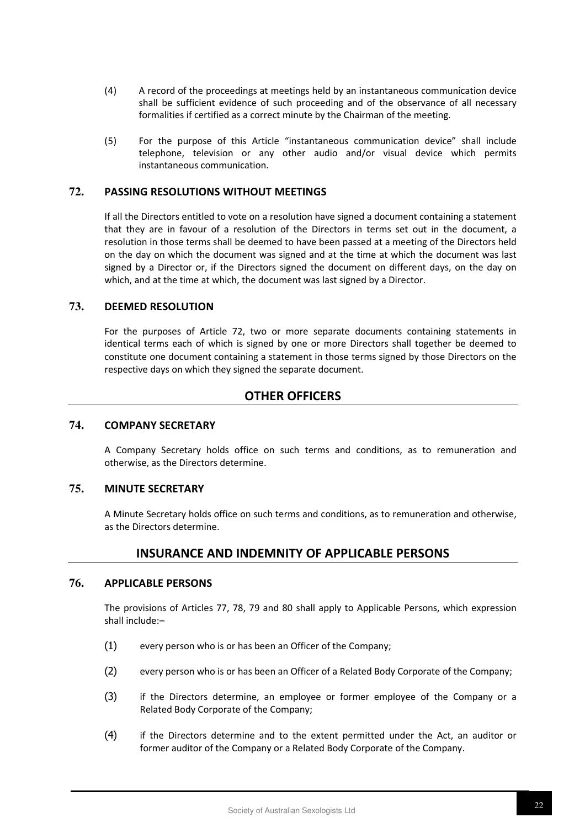- (4) A record of the proceedings at meetings held by an instantaneous communication device shall be sufficient evidence of such proceeding and of the observance of all necessary formalities if certified as a correct minute by the Chairman of the meeting.
- (5) For the purpose of this Article "instantaneous communication device" shall include telephone, television or any other audio and/or visual device which permits instantaneous communication.

#### **72. PASSING RESOLUTIONS WITHOUT MEETINGS**

If all the Directors entitled to vote on a resolution have signed a document containing a statement that they are in favour of a resolution of the Directors in terms set out in the document, a resolution in those terms shall be deemed to have been passed at a meeting of the Directors held on the day on which the document was signed and at the time at which the document was last signed by a Director or, if the Directors signed the document on different days, on the day on which, and at the time at which, the document was last signed by a Director.

#### **73. DEEMED RESOLUTION**

For the purposes of Article 72, two or more separate documents containing statements in identical terms each of which is signed by one or more Directors shall together be deemed to constitute one document containing a statement in those terms signed by those Directors on the respective days on which they signed the separate document.

# **OTHER OFFICERS**

#### **74. COMPANY SECRETARY**

A Company Secretary holds office on such terms and conditions, as to remuneration and otherwise, as the Directors determine.

## **75. MINUTE SECRETARY**

A Minute Secretary holds office on such terms and conditions, as to remuneration and otherwise, as the Directors determine.

# **INSURANCE AND INDEMNITY OF APPLICABLE PERSONS**

#### **76. APPLICABLE PERSONS**

The provisions of Articles 77, 78, 79 and 80 shall apply to Applicable Persons, which expression shall include:–

- (1) every person who is or has been an Officer of the Company;
- (2) every person who is or has been an Officer of a Related Body Corporate of the Company;
- (3) if the Directors determine, an employee or former employee of the Company or a Related Body Corporate of the Company;
- (4) if the Directors determine and to the extent permitted under the Act, an auditor or former auditor of the Company or a Related Body Corporate of the Company.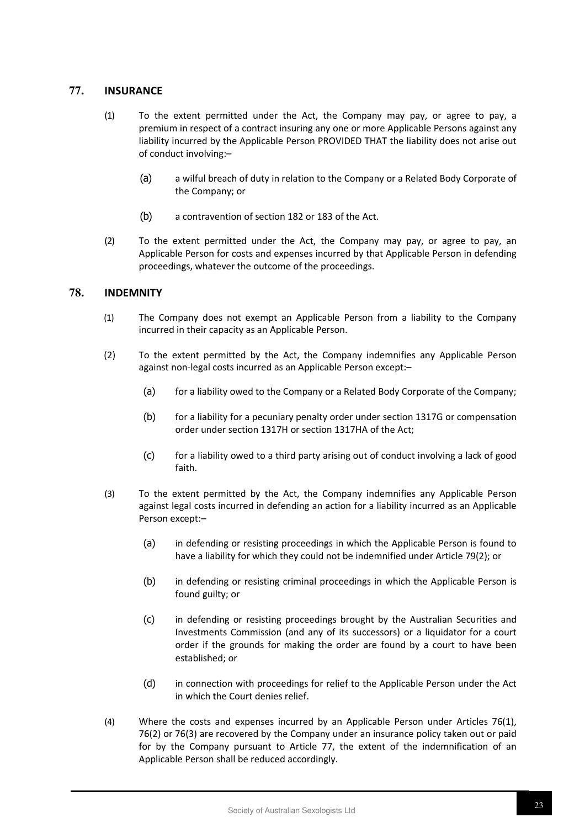# **77. INSURANCE**

- (1) To the extent permitted under the Act, the Company may pay, or agree to pay, a premium in respect of a contract insuring any one or more Applicable Persons against any liability incurred by the Applicable Person PROVIDED THAT the liability does not arise out of conduct involving:–
	- (a) a wilful breach of duty in relation to the Company or a Related Body Corporate of the Company; or
	- (b) a contravention of section 182 or 183 of the Act.
- (2) To the extent permitted under the Act, the Company may pay, or agree to pay, an Applicable Person for costs and expenses incurred by that Applicable Person in defending proceedings, whatever the outcome of the proceedings.

# **78. INDEMNITY**

- (1) The Company does not exempt an Applicable Person from a liability to the Company incurred in their capacity as an Applicable Person.
- (2) To the extent permitted by the Act, the Company indemnifies any Applicable Person against non-legal costs incurred as an Applicable Person except:–
	- (a) for a liability owed to the Company or a Related Body Corporate of the Company;
	- (b) for a liability for a pecuniary penalty order under section 1317G or compensation order under section 1317H or section 1317HA of the Act;
	- (c) for a liability owed to a third party arising out of conduct involving a lack of good faith.
- (3) To the extent permitted by the Act, the Company indemnifies any Applicable Person against legal costs incurred in defending an action for a liability incurred as an Applicable Person except:–
	- (a) in defending or resisting proceedings in which the Applicable Person is found to have a liability for which they could not be indemnified under Article 79(2); or
	- (b) in defending or resisting criminal proceedings in which the Applicable Person is found guilty; or
	- (c) in defending or resisting proceedings brought by the Australian Securities and Investments Commission (and any of its successors) or a liquidator for a court order if the grounds for making the order are found by a court to have been established; or
	- (d) in connection with proceedings for relief to the Applicable Person under the Act in which the Court denies relief.
- (4) Where the costs and expenses incurred by an Applicable Person under Articles 76(1), 76(2) or 76(3) are recovered by the Company under an insurance policy taken out or paid for by the Company pursuant to Article 77, the extent of the indemnification of an Applicable Person shall be reduced accordingly.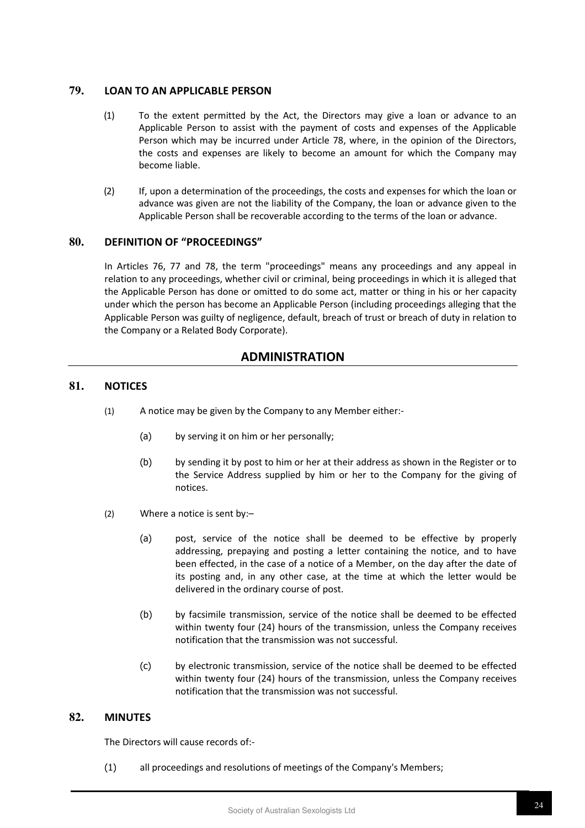# **79. LOAN TO AN APPLICABLE PERSON**

- (1) To the extent permitted by the Act, the Directors may give a loan or advance to an Applicable Person to assist with the payment of costs and expenses of the Applicable Person which may be incurred under Article 78, where, in the opinion of the Directors, the costs and expenses are likely to become an amount for which the Company may become liable.
- (2) If, upon a determination of the proceedings, the costs and expenses for which the loan or advance was given are not the liability of the Company, the loan or advance given to the Applicable Person shall be recoverable according to the terms of the loan or advance.

# **80. DEFINITION OF "PROCEEDINGS"**

In Articles 76, 77 and 78, the term "proceedings" means any proceedings and any appeal in relation to any proceedings, whether civil or criminal, being proceedings in which it is alleged that the Applicable Person has done or omitted to do some act, matter or thing in his or her capacity under which the person has become an Applicable Person (including proceedings alleging that the Applicable Person was guilty of negligence, default, breach of trust or breach of duty in relation to the Company or a Related Body Corporate).

# **ADMINISTRATION**

# **81. NOTICES**

- (1) A notice may be given by the Company to any Member either:-
	- (a) by serving it on him or her personally;
	- (b) by sending it by post to him or her at their address as shown in the Register or to the Service Address supplied by him or her to the Company for the giving of notices.
- (2) Where a notice is sent by:–
	- (a) post, service of the notice shall be deemed to be effective by properly addressing, prepaying and posting a letter containing the notice, and to have been effected, in the case of a notice of a Member, on the day after the date of its posting and, in any other case, at the time at which the letter would be delivered in the ordinary course of post.
	- (b) by facsimile transmission, service of the notice shall be deemed to be effected within twenty four (24) hours of the transmission, unless the Company receives notification that the transmission was not successful.
	- (c) by electronic transmission, service of the notice shall be deemed to be effected within twenty four (24) hours of the transmission, unless the Company receives notification that the transmission was not successful.

# **82. MINUTES**

The Directors will cause records of:-

(1) all proceedings and resolutions of meetings of the Company's Members;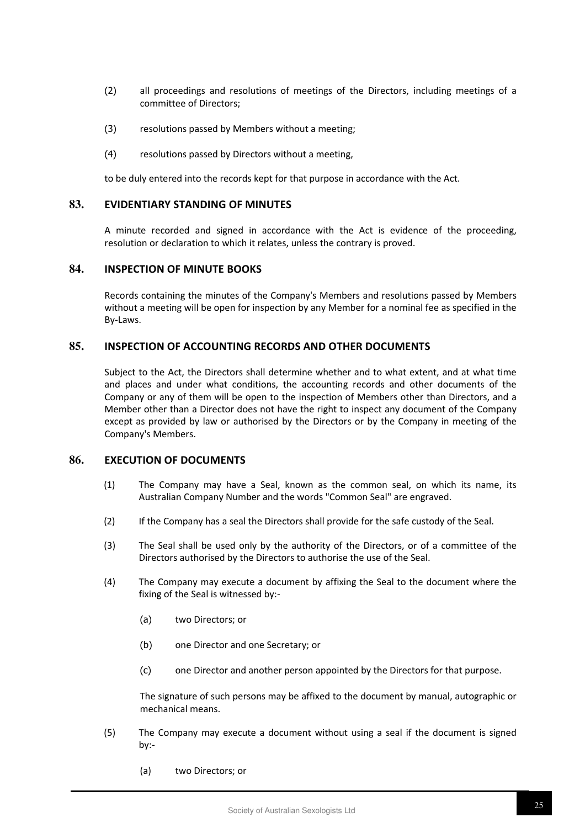- (2) all proceedings and resolutions of meetings of the Directors, including meetings of a committee of Directors;
- (3) resolutions passed by Members without a meeting;
- (4) resolutions passed by Directors without a meeting,

to be duly entered into the records kept for that purpose in accordance with the Act.

#### **83. EVIDENTIARY STANDING OF MINUTES**

A minute recorded and signed in accordance with the Act is evidence of the proceeding, resolution or declaration to which it relates, unless the contrary is proved.

# **84. INSPECTION OF MINUTE BOOKS**

Records containing the minutes of the Company's Members and resolutions passed by Members without a meeting will be open for inspection by any Member for a nominal fee as specified in the By-Laws.

#### **85. INSPECTION OF ACCOUNTING RECORDS AND OTHER DOCUMENTS**

Subject to the Act, the Directors shall determine whether and to what extent, and at what time and places and under what conditions, the accounting records and other documents of the Company or any of them will be open to the inspection of Members other than Directors, and a Member other than a Director does not have the right to inspect any document of the Company except as provided by law or authorised by the Directors or by the Company in meeting of the Company's Members.

## **86. EXECUTION OF DOCUMENTS**

- (1) The Company may have a Seal, known as the common seal, on which its name, its Australian Company Number and the words "Common Seal" are engraved.
- (2) If the Company has a seal the Directors shall provide for the safe custody of the Seal.
- (3) The Seal shall be used only by the authority of the Directors, or of a committee of the Directors authorised by the Directors to authorise the use of the Seal.
- (4) The Company may execute a document by affixing the Seal to the document where the fixing of the Seal is witnessed by:-
	- (a) two Directors; or
	- (b) one Director and one Secretary; or
	- (c) one Director and another person appointed by the Directors for that purpose.

The signature of such persons may be affixed to the document by manual, autographic or mechanical means.

- (5) The Company may execute a document without using a seal if the document is signed by:-
	- (a) two Directors; or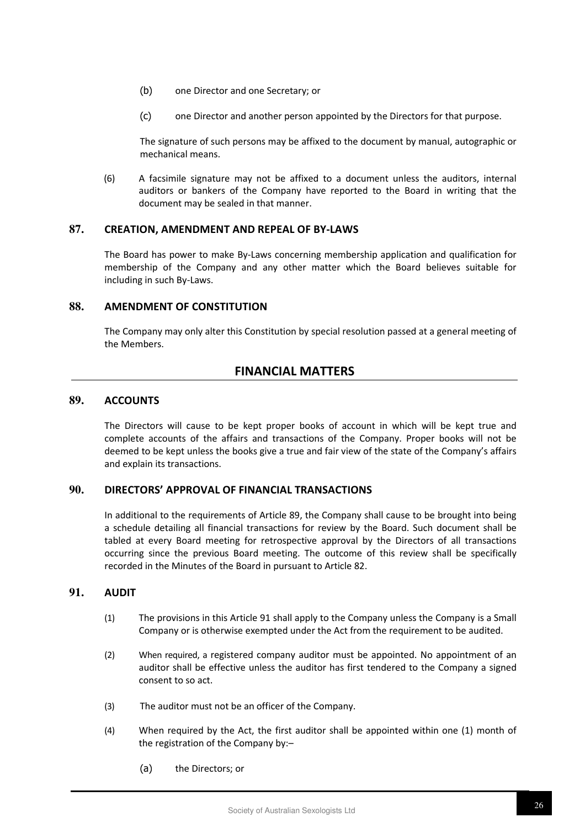- (b) one Director and one Secretary; or
- (c) one Director and another person appointed by the Directors for that purpose.

The signature of such persons may be affixed to the document by manual, autographic or mechanical means.

(6) A facsimile signature may not be affixed to a document unless the auditors, internal auditors or bankers of the Company have reported to the Board in writing that the document may be sealed in that manner.

#### **87. CREATION, AMENDMENT AND REPEAL OF BY-LAWS**

The Board has power to make By-Laws concerning membership application and qualification for membership of the Company and any other matter which the Board believes suitable for including in such By-Laws.

#### **88. AMENDMENT OF CONSTITUTION**

The Company may only alter this Constitution by special resolution passed at a general meeting of the Members.

# **FINANCIAL MATTERS**

#### **89. ACCOUNTS**

The Directors will cause to be kept proper books of account in which will be kept true and complete accounts of the affairs and transactions of the Company. Proper books will not be deemed to be kept unless the books give a true and fair view of the state of the Company's affairs and explain its transactions.

## **90. DIRECTORS' APPROVAL OF FINANCIAL TRANSACTIONS**

In additional to the requirements of Article 89, the Company shall cause to be brought into being a schedule detailing all financial transactions for review by the Board. Such document shall be tabled at every Board meeting for retrospective approval by the Directors of all transactions occurring since the previous Board meeting. The outcome of this review shall be specifically recorded in the Minutes of the Board in pursuant to Article 82.

#### **91. AUDIT**

- (1) The provisions in this Article 91 shall apply to the Company unless the Company is a Small Company or is otherwise exempted under the Act from the requirement to be audited.
- (2) When required, a registered company auditor must be appointed. No appointment of an auditor shall be effective unless the auditor has first tendered to the Company a signed consent to so act.
- (3) The auditor must not be an officer of the Company.
- (4) When required by the Act, the first auditor shall be appointed within one (1) month of the registration of the Company by:–
	- (a) the Directors; or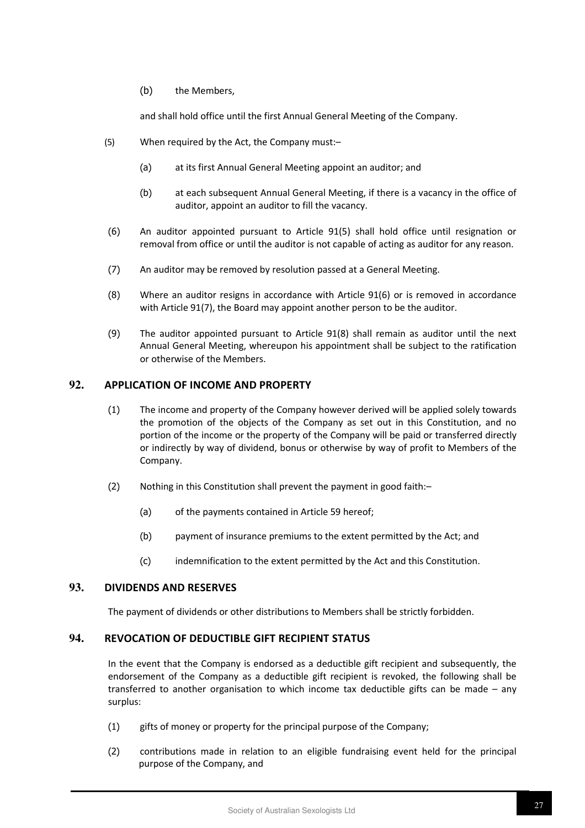(b) the Members,

and shall hold office until the first Annual General Meeting of the Company.

- (5) When required by the Act, the Company must:–
	- (a) at its first Annual General Meeting appoint an auditor; and
	- (b) at each subsequent Annual General Meeting, if there is a vacancy in the office of auditor, appoint an auditor to fill the vacancy.
- (6) An auditor appointed pursuant to Article 91(5) shall hold office until resignation or removal from office or until the auditor is not capable of acting as auditor for any reason.
- (7) An auditor may be removed by resolution passed at a General Meeting.
- (8) Where an auditor resigns in accordance with Article 91(6) or is removed in accordance with Article 91(7), the Board may appoint another person to be the auditor.
- (9) The auditor appointed pursuant to Article 91(8) shall remain as auditor until the next Annual General Meeting, whereupon his appointment shall be subject to the ratification or otherwise of the Members.

# **92. APPLICATION OF INCOME AND PROPERTY**

- (1) The income and property of the Company however derived will be applied solely towards the promotion of the objects of the Company as set out in this Constitution, and no portion of the income or the property of the Company will be paid or transferred directly or indirectly by way of dividend, bonus or otherwise by way of profit to Members of the Company.
- (2) Nothing in this Constitution shall prevent the payment in good faith:–
	- (a) of the payments contained in Article 59 hereof;
	- (b) payment of insurance premiums to the extent permitted by the Act; and
	- (c) indemnification to the extent permitted by the Act and this Constitution.

# **93. DIVIDENDS AND RESERVES**

The payment of dividends or other distributions to Members shall be strictly forbidden.

#### **94. REVOCATION OF DEDUCTIBLE GIFT RECIPIENT STATUS**

In the event that the Company is endorsed as a deductible gift recipient and subsequently, the endorsement of the Company as a deductible gift recipient is revoked, the following shall be transferred to another organisation to which income tax deductible gifts can be made – any surplus:

- (1) gifts of money or property for the principal purpose of the Company;
- (2) contributions made in relation to an eligible fundraising event held for the principal purpose of the Company, and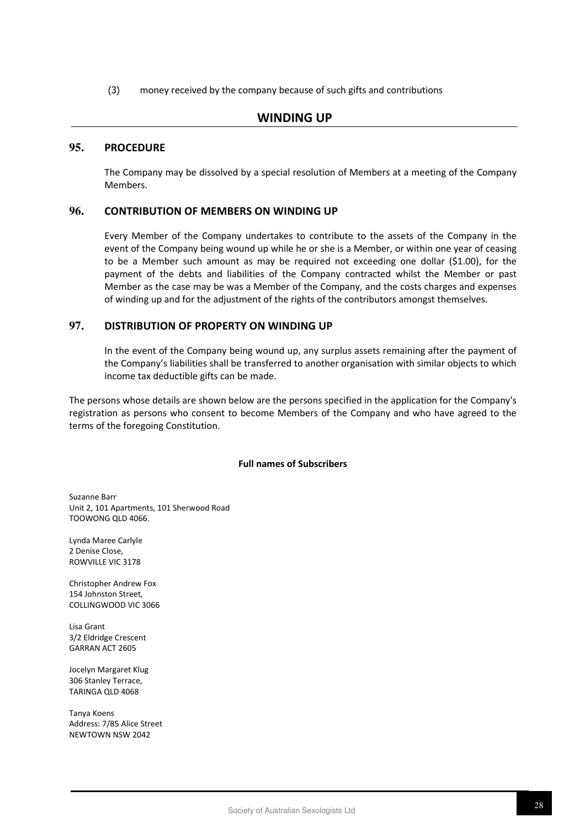(3) money received by the company because of such gifts and contributions

# **WINDING UP**

## **95. PROCEDURE**

The Company may be dissolved by a special resolution of Members at a meeting of the Company Members.

# **96. CONTRIBUTION OF MEMBERS ON WINDING UP**

Every Member of the Company undertakes to contribute to the assets of the Company in the event of the Company being wound up while he or she is a Member, or within one year of ceasing to be a Member such amount as may be required not exceeding one dollar (\$1.00), for the payment of the debts and liabilities of the Company contracted whilst the Member or past Member as the case may be was a Member of the Company, and the costs charges and expenses of winding up and for the adjustment of the rights of the contributors amongst themselves.

# **97. DISTRIBUTION OF PROPERTY ON WINDING UP**

In the event of the Company being wound up, any surplus assets remaining after the payment of the Company's liabilities shall be transferred to another organisation with similar objects to which income tax deductible gifts can be made.

The persons whose details are shown below are the persons specified in the application for the Company's registration as persons who consent to become Members of the Company and who have agreed to the terms of the foregoing Constitution.

#### **Full names of Subscribers**

Suzanne Barr Unit 2, 101 Apartments, 101 Sherwood Road TOOWONG QLD 4066.

Lynda Maree Carlyle 2 Denise Close, ROWVILLE VIC 3178

Christopher Andrew Fox 154 Johnston Street, COLLINGWOOD VIC 3066

Lisa Grant 3/2 Eldridge Crescent GARRAN ACT 2605

Jocelyn Margaret Klug 306 Stanley Terrace, TARINGA QLD 4068

Tanya Koens Address: 7/85 Alice Street NEWTOWN NSW 2042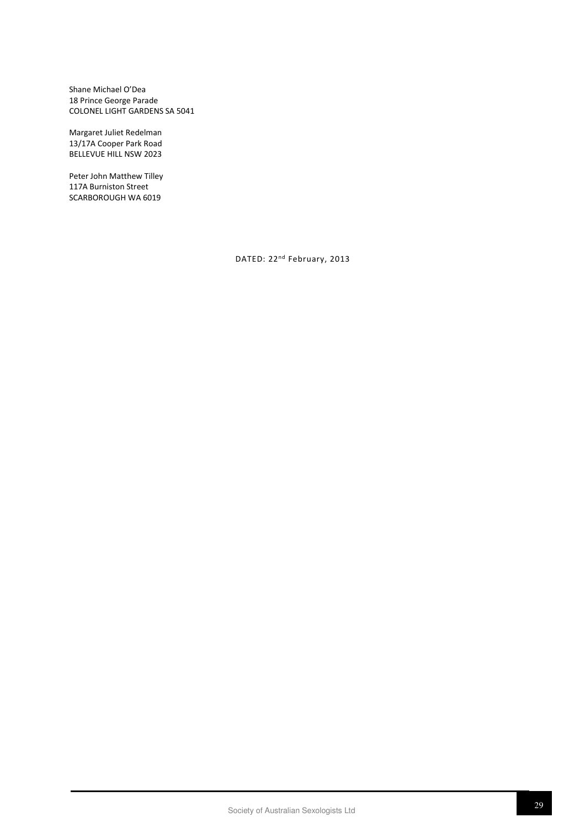Shane Michael O'Dea 18 Prince George Parade COLONEL LIGHT GARDENS SA 5041

Margaret Juliet Redelman 13/17A Cooper Park Road BELLEVUE HILL NSW 2023

Peter John Matthew Tilley 117A Burniston Street SCARBOROUGH WA 6019

DATED: 22nd February, 2013